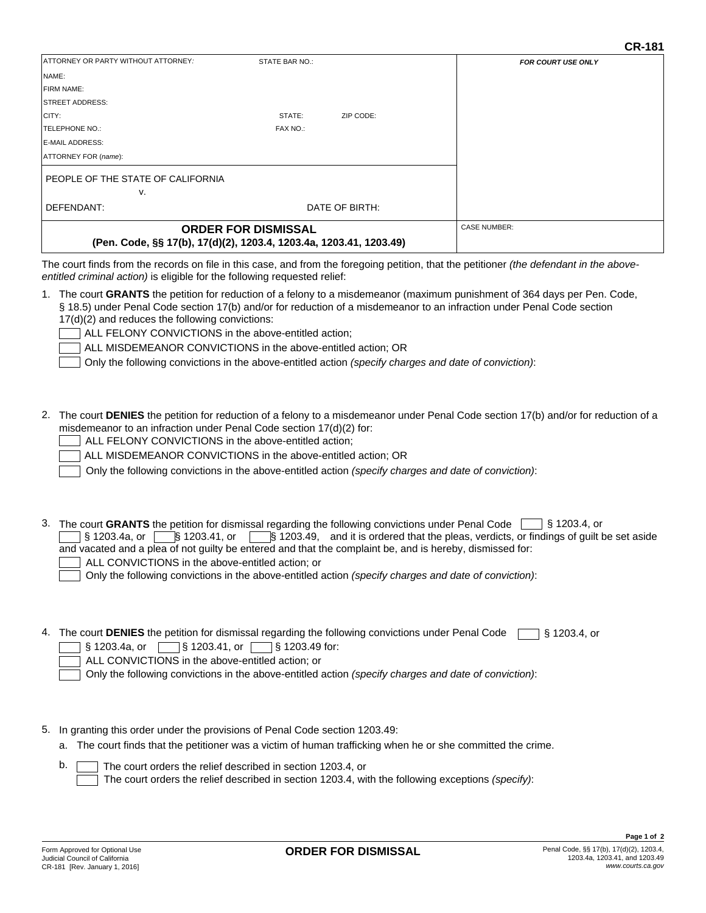| ATTORNEY OR PARTY WITHOUT ATTORNEY:                                                              | STATE BAR NO.: |           | <b>FOR COURT USE ONLY</b>                                                                                                                       |
|--------------------------------------------------------------------------------------------------|----------------|-----------|-------------------------------------------------------------------------------------------------------------------------------------------------|
| NAME:                                                                                            |                |           |                                                                                                                                                 |
| <b>IFIRM NAME:</b>                                                                               |                |           |                                                                                                                                                 |
| STREET ADDRESS:                                                                                  |                |           |                                                                                                                                                 |
| CITY:                                                                                            | STATE:         | ZIP CODE: |                                                                                                                                                 |
| TELEPHONE NO.:                                                                                   | FAX NO.:       |           |                                                                                                                                                 |
| <b>E-MAIL ADDRESS:</b>                                                                           |                |           |                                                                                                                                                 |
| ATTORNEY FOR (name):                                                                             |                |           |                                                                                                                                                 |
| PEOPLE OF THE STATE OF CALIFORNIA                                                                |                |           |                                                                                                                                                 |
| v.                                                                                               |                |           |                                                                                                                                                 |
| DEFENDANT:                                                                                       | DATE OF BIRTH: |           |                                                                                                                                                 |
| <b>ORDER FOR DISMISSAL</b><br>(Pen. Code, §§ 17(b), 17(d)(2), 1203.4, 1203.4a, 1203.41, 1203.49) |                |           | <b>CASE NUMBER:</b>                                                                                                                             |
|                                                                                                  |                |           | The court finds from the records on file in this case, and from the foregoing petition, that the petitioner <i>(the defendant in the above-</i> |

case, and from the foregoing petition, that the petitioner *(the defendant in the above entitled criminal action)* is eligible for the following requested relief:

| 1. The court GRANTS the petition for reduction of a felony to a misdemeanor (maximum punishment of 364 days per Pen. Code, |
|----------------------------------------------------------------------------------------------------------------------------|
| § 18.5) under Penal Code section 17(b) and/or for reduction of a misdemeanor to an infraction under Penal Code section     |
| 17(d)(2) and reduces the following convictions:                                                                            |
| $\Box$ ALL FELONY CONVICTIONS in the above-entitled action:                                                                |

FELONY CONVICTIONS in the above-entitled action;

ALL MISDEMEANOR CONVICTIONS in the above-entitled action; OR

Only the following convictions in the above-entitled action *(specify charges and date of conviction)*:

2. The court **DENIES** the petition for reduction of a felony to a misdemeanor under Penal Code section 17(b) and/or for reduction of a misdemeanor to an infraction under Penal Code section 17(d)(2) for:

| ALL FELONY CONVICTIONS in the above-entitled action; |  |
|------------------------------------------------------|--|
|------------------------------------------------------|--|

ALL MISDEMEANOR CONVICTIONS in the above-entitled action; OR

Only the following convictions in the above-entitled action *(specify charges and date of conviction)*:

3. The court GRANTS the petition for dismissal regarding the following convictions under Penal Code Ⅰ S 1203.4, or § 1203.4a, or S 1203.41, or S 1203.49, and it is ordered that the pleas, verdicts, or findings of guilt be set aside and vacated and a plea of not guilty be entered and that the complaint be, and is hereby, dismissed for: ALL CONVICTIONS in the above-entitled action; or Only the following convictions in the above-entitled action *(specify charges and date of conviction)*:

4. The court **DENIES** the petition for dismissal regarding the following convictions under Penal Code § 1203.4, or

§ 1203.41, or § 1203.4a, or § 1203.49 for:

| ALL CONVICTIONS in the above-entitled action; or |
|--------------------------------------------------|
|--------------------------------------------------|

Only the following convictions in the above-entitled action *(specify charges and date of conviction)*:

- 5. In granting this order under the provisions of Penal Code section 1203.49:
	- a. The court finds that the petitioner was a victim of human trafficking when he or she committed the crime.

|  | $\mathsf{b}$ . $\Box$ The court orders the relief described in section 1203.4, or                 |
|--|---------------------------------------------------------------------------------------------------|
|  | The court orders the relief described in section 1203.4, with the following exceptions (specify): |